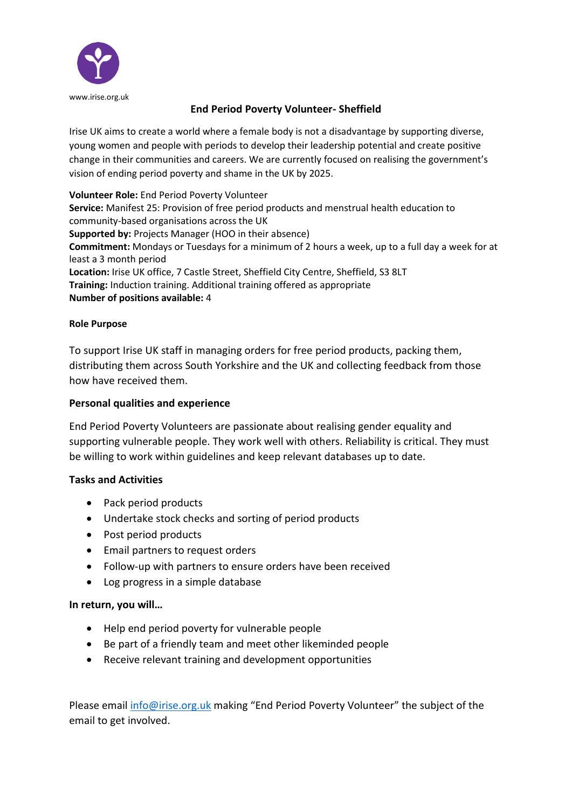

# **End Period Poverty Volunteer- Sheffield**

Irise UK aims to create a world where a female body is not a disadvantage by supporting diverse, young women and people with periods to develop their leadership potential and create positive change in their communities and careers. We are currently focused on realising the government's vision of ending period poverty and shame in the UK by 2025.

**Volunteer Role:** End Period Poverty Volunteer **Service:** Manifest 25: Provision of free period products and menstrual health education to community-based organisations across the UK **Supported by:** Projects Manager (HOO in their absence) **Commitment:** Mondays or Tuesdays for a minimum of 2 hours a week, up to a full day a week for at least a 3 month period **Location:** Irise UK office, 7 Castle Street, Sheffield City Centre, Sheffield, S3 8LT **Training:** Induction training. Additional training offered as appropriate **Number of positions available:** 4

#### **Role Purpose**

To support Irise UK staff in managing orders for free period products, packing them, distributing them across South Yorkshire and the UK and collecting feedback from those how have received them.

#### **Personal qualities and experience**

End Period Poverty Volunteers are passionate about realising gender equality and supporting vulnerable people. They work well with others. Reliability is critical. They must be willing to work within guidelines and keep relevant databases up to date.

## **Tasks and Activities**

- Pack period products
- Undertake stock checks and sorting of period products
- Post period products
- Email partners to request orders
- Follow-up with partners to ensure orders have been received
- Log progress in a simple database

## **In return, you will…**

- Help end period poverty for vulnerable people
- Be part of a friendly team and meet other likeminded people
- Receive relevant training and development opportunities

Please email [info@irise.org.uk](mailto:info@irise.org.uk) making "End Period Poverty Volunteer" the subject of the email to get involved.